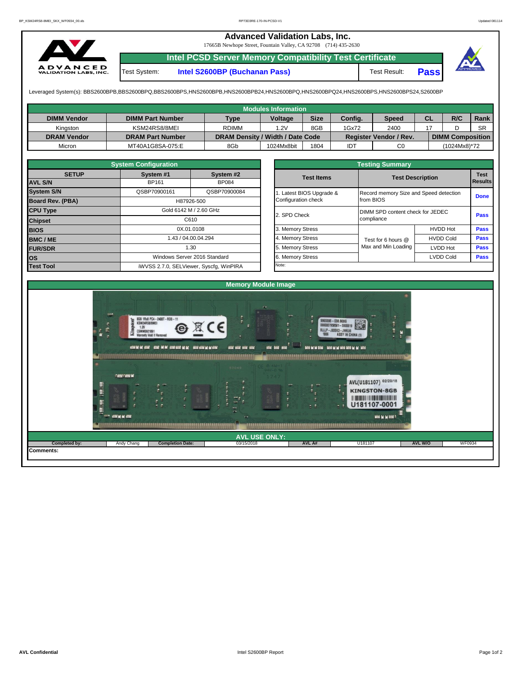## **Advanced Validation Labs, Inc.**

17665B Newhope Street, Fountain Valley, CA 92708 (714) 435-2630



**Intel PCSD Server Memory Compatibility Test Certificate** Test System: **Intel S2600BP (Buchanan Pass)** Test Result: **Pass**

Leveraged System(s): BBS2600BPB,BBS2600BPQ,BBS2600BPS,HNS2600BPB,HNS2600BPB24,HNS2600BPQ,HNS2600BPQ24,HNS2600BPS,HNS2600BPS24,S2600BP

|                    |                         |                                  | <b>Modules Information</b> |             |         |                        |    |                         |           |
|--------------------|-------------------------|----------------------------------|----------------------------|-------------|---------|------------------------|----|-------------------------|-----------|
| <b>DIMM Vendor</b> | <b>DIMM Part Number</b> | <b>Type</b>                      | <b>Voltage</b>             | <b>Size</b> | Config. | <b>Speed</b>           | СL | R/C                     | Rank      |
| Kinaston           | KSM24RS8/8MEI           | <b>RDIMM</b>                     | 1.2V                       | 8GB         | 1Gx72   | 2400                   |    |                         | <b>SR</b> |
| <b>DRAM Vendor</b> | <b>DRAM Part Number</b> | DRAM Density / Width / Date Code |                            |             |         | Register Vendor / Rev. |    | <b>DIMM Composition</b> |           |
| Micron             | MT40A1G8SA-075:E        | 8Gb                              | 1024Mx8bit                 | 1804        | IDT     | C <sub>0</sub>         |    | (1024Mx8)*72            |           |

|                         | <b>System Configuration</b>  |                                         |  | <b>Testing Summary</b>   |                                  |                                        |             |  |  |  |  |  |  |
|-------------------------|------------------------------|-----------------------------------------|--|--------------------------|----------------------------------|----------------------------------------|-------------|--|--|--|--|--|--|
| <b>SETUP</b>            | System #1                    | System #2                               |  | <b>Test Items</b>        | <b>Test Description</b>          | <b>Test</b>                            |             |  |  |  |  |  |  |
| <b>AVL S/N</b>          | <b>BP161</b><br><b>BP084</b> |                                         |  |                          | Results                          |                                        |             |  |  |  |  |  |  |
| <b>System S/N</b>       | QSBP70900161                 | QSBP70900084                            |  | 1. Latest BIOS Upgrade & |                                  | Record memory Size and Speed detection |             |  |  |  |  |  |  |
| <b>Board Rev. (PBA)</b> | H87926-500                   |                                         |  |                          | from BIOS                        | <b>Done</b>                            |             |  |  |  |  |  |  |
| <b>CPU Type</b>         | Gold 6142 M / 2.60 GHz       |                                         |  | 2. SPD Check             | DIMM SPD content check for JEDEC | <b>Pass</b>                            |             |  |  |  |  |  |  |
| <b>Chipset</b>          |                              | C610                                    |  |                          | compliance                       |                                        |             |  |  |  |  |  |  |
| <b>BIOS</b>             |                              | 0X.01.0108                              |  | 3. Memory Stress         |                                  | <b>HVDD Hot</b>                        | <b>Pass</b> |  |  |  |  |  |  |
| <b>BMC/ME</b>           |                              | 43 / 04.00.04.294                       |  | 4. Memory Stress         | Test for 6 hours @               | <b>HVDD Cold</b>                       | <b>Pass</b> |  |  |  |  |  |  |
| <b>FUR/SDR</b>          |                              | 1.30                                    |  | 5. Memory Stress         | Max and Min Loading              | <b>LVDD Hot</b>                        | Pass        |  |  |  |  |  |  |
| lOS.                    |                              | Windows Server 2016 Standard            |  | 6. Memory Stress         |                                  | <b>LVDD Cold</b>                       | <b>Pass</b> |  |  |  |  |  |  |
| <b>Test Tool</b>        |                              | iWVSS 2.7.0, SELViewer, Syscfq, WinPIRA |  | Note:                    |                                  |                                        |             |  |  |  |  |  |  |

|              | <b>System Configuration</b> |                                    |                       | <b>Testing Summary</b>                 |                         |             |  |  |  |
|--------------|-----------------------------|------------------------------------|-----------------------|----------------------------------------|-------------------------|-------------|--|--|--|
| <b>SETUP</b> | System #1                   | System #2                          | <b>Test Items</b>     |                                        |                         | <b>Test</b> |  |  |  |
|              | BP161                       | <b>BP084</b>                       |                       |                                        | <b>Test Description</b> |             |  |  |  |
|              | QSBP70900161                | QSBP70900084                       | Latest BIOS Upgrade & | Record memory Size and Speed detection | <b>Done</b>             |             |  |  |  |
| PBA)         |                             | H87926-500                         | Configuration check   | from BIOS                              |                         |             |  |  |  |
|              |                             | Gold 6142 M / 2.60 GHz             |                       | DIMM SPD content check for JEDEC       |                         |             |  |  |  |
|              |                             | C610                               | 2. SPD Check          | compliance                             |                         |             |  |  |  |
|              |                             | 0X.01.0108                         | 3. Memory Stress      |                                        | <b>HVDD Hot</b>         | Pass        |  |  |  |
|              |                             | 1.43 / 04.00.04.294                | 4. Memory Stress      | Test for 6 hours @                     | <b>HVDD Cold</b>        | Pass        |  |  |  |
|              |                             | 1.30                               | 5. Memory Stress      | Max and Min Loading                    | LVDD Hot                | Pass        |  |  |  |
|              |                             | Windows Server 2016 Standard       | 6. Memory Stress      |                                        | <b>LVDD Cold</b>        | <b>Pass</b> |  |  |  |
|              |                             | iMVSS 270 SELViewer Svecta WinPIRA | Note:                 |                                        |                         |             |  |  |  |